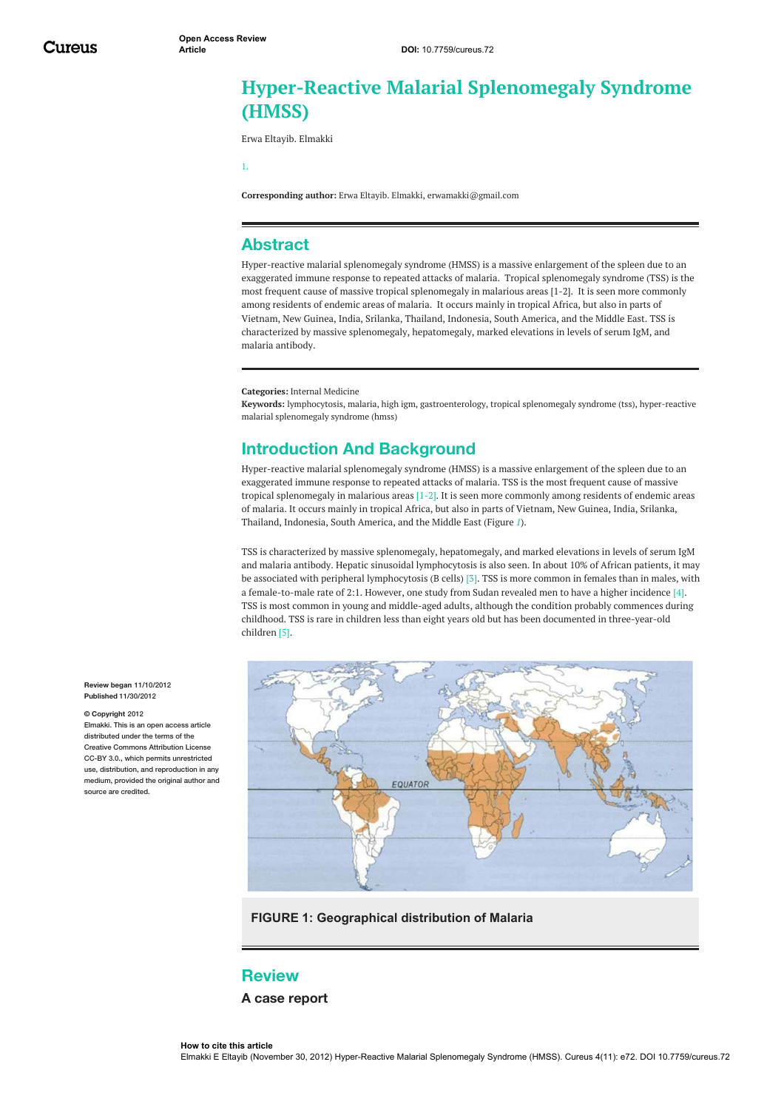# **Hyper-Reactive Malarial Splenomegaly Syndrome (HMSS)**

Erwa Eltayib. [Elmakki](https://www.cureus.com/users/11095-erwa-eltayib-elmakki)

1.

**Corresponding author:** Erwa Eltayib. Elmakki, erwamakki@gmail.com

### **Abstract**

Hyper-reactive malarial splenomegaly syndrome (HMSS) is a massive enlargement of the spleen due to an exaggerated immune response to repeated attacks of malaria. Tropical splenomegaly syndrome (TSS) is the most frequent cause of massive tropical splenomegaly in malarious areas [1-2]. It is seen more commonly among residents of endemic areas of malaria. It occurs mainly in tropical Africa, but also in parts of Vietnam, New Guinea, India, Srilanka, Thailand, Indonesia, South America, and the Middle East. TSS is characterized by massive splenomegaly, hepatomegaly, marked elevations in levels of serum IgM, and malaria antibody.

**Categories:** Internal Medicine

**Keywords:** lymphocytosis, malaria, high igm, gastroenterology, tropical splenomegaly syndrome (tss), hyper-reactive malarial splenomegaly syndrome (hmss)

## **Introduction And Background**

Hyper-reactive malarial splenomegaly syndrome (HMSS) is a massive enlargement of the spleen due to an exaggerated immune response to repeated attacks of malaria. TSS is the most frequent cause of massive tropical splenomegaly in malarious areas [1-2]. It is seen more commonly among residents of endemic areas of malaria. It occurs mainly in tropical Africa, but also in parts of Vietnam, New Guinea, India, Srilanka, Thailand, Indonesia, South America, and the Middle East (Figure *[1](#page-0-0)*).

TSS is characterized by massive splenomegaly, hepatomegaly, and marked elevations in levels of serum IgM and malaria antibody. Hepatic sinusoidal lymphocytosis is also seen. In about 10% of African patients, it may be associated with peripheral lymphocytosis (B cells) [3]. TSS is more common in females than in males, with a female-to-male rate of 2:1. However, one study from Sudan revealed men to have a higher incidence [4]. TSS is most common in young and middle-aged adults, although the condition probably commences during childhood. TSS is rare in children less than eight years old but has been documented in three-year-old children [5].

<span id="page-0-0"></span>

#### **FIGURE 1: Geographical distribution of Malaria**

## **Review**

#### **A case report**

**Review began** 11/10/2012 **Published** 11/30/2012 **© Copyright** 2012

Elmakki. This is an open access article distributed under the terms of the Creative Commons Attribution License CC-BY 3.0., which permits unrestricted use, distribution, and reproduction in any medium, provided the original author and source are credited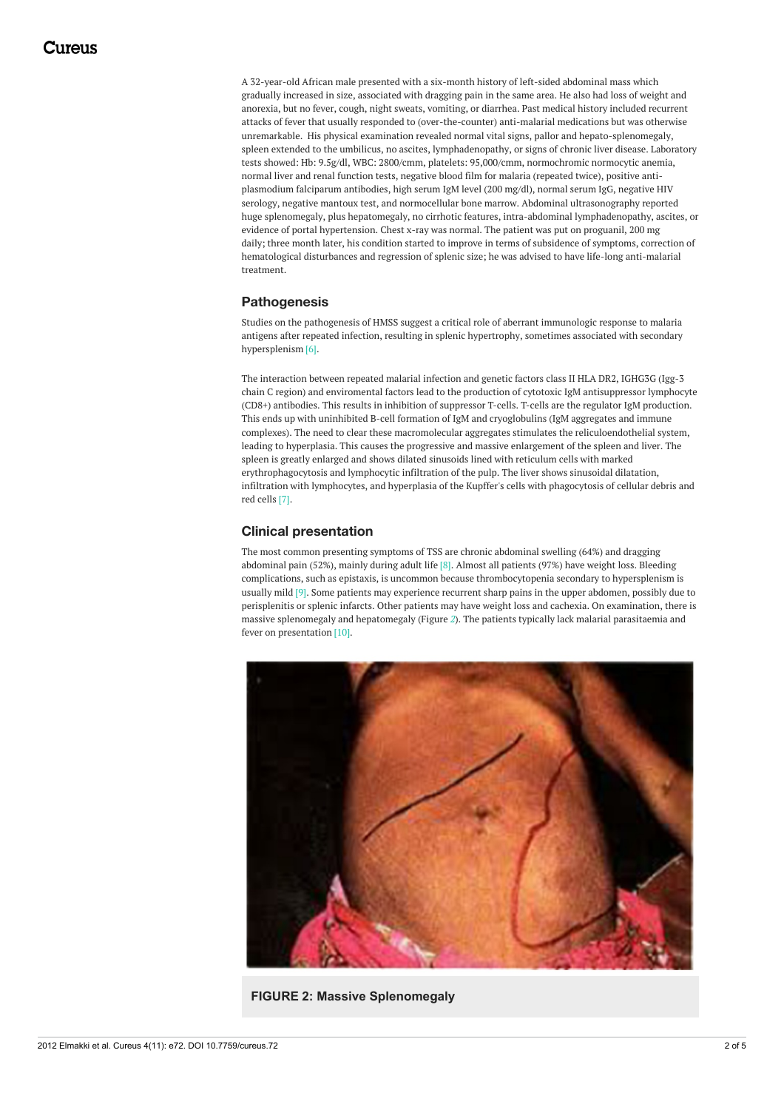A 32-year-old African male presented with a six-month history of left-sided abdominal mass which gradually increased in size, associated with dragging pain in the same area. He also had loss of weight and anorexia, but no fever, cough, night sweats, vomiting, or diarrhea. Past medical history included recurrent attacks of fever that usually responded to (over-the-counter) anti-malarial medications but was otherwise unremarkable. His physical examination revealed normal vital signs, pallor and hepato-splenomegaly, spleen extended to the umbilicus, no ascites, lymphadenopathy, or signs of chronic liver disease. Laboratory tests showed: Hb: 9.5g/dl, WBC: 2800/cmm, platelets: 95,000/cmm, normochromic normocytic anemia, normal liver and renal function tests, negative blood film for malaria (repeated twice), positive antiplasmodium falciparum antibodies, high serum IgM level (200 mg/dl), normal serum IgG, negative HIV serology, negative mantoux test, and normocellular bone marrow. Abdominal ultrasonography reported huge splenomegaly, plus hepatomegaly, no cirrhotic features, intra-abdominal lymphadenopathy, ascites, or evidence of portal hypertension. Chest x-ray was normal. The patient was put on proguanil, 200 mg daily; three month later, his condition started to improve in terms of subsidence of symptoms, correction of hematological disturbances and regression of splenic size; he was advised to have life-long anti-malarial treatment.

#### **Pathogenesis**

Studies on the pathogenesis of HMSS suggest a critical role of aberrant immunologic response to malaria antigens after repeated infection, resulting in splenic hypertrophy, sometimes associated with secondary hypersplenism [6].

The interaction between repeated malarial infection and genetic factors class II HLA DR2, IGHG3G (Igg-3 chain C region) and enviromental factors lead to the production of cytotoxic IgM antisuppressor lymphocyte (CD8+) antibodies. This results in inhibition of suppressor T-cells. T-cells are the regulator IgM production. This ends up with uninhibited B-cell formation of IgM and cryoglobulins (IgM aggregates and immune complexes). The need to clear these macromolecular aggregates stimulates the reliculoendothelial system, leading to hyperplasia. This causes the progressive and massive enlargement of the spleen and liver. The spleen is greatly enlarged and shows dilated sinusoids lined with reticulum cells with marked erythrophagocytosis and lymphocytic infiltration of the pulp. The liver shows sinusoidal dilatation, infiltration with lymphocytes, and hyperplasia of the Kupffer's cells with phagocytosis of cellular debris and red cells [7].

#### **Clinical presentation**

The most common presenting symptoms of TSS are chronic abdominal swelling (64%) and dragging abdominal pain (52%), mainly during adult life [8]. Almost all patients (97%) have weight loss. Bleeding complications, such as epistaxis, is uncommon because thrombocytopenia secondary to hypersplenism is usually mild [9]. Some patients may experience recurrent sharp pains in the upper abdomen, possibly due to perisplenitis or splenic infarcts. Other patients may have weight loss and cachexia. On examination, there is massive splenomegaly and hepatomegaly (Figure *[2](#page-1-0)*). The patients typically lack malarial parasitaemia and fever on presentation [10].

<span id="page-1-0"></span>

**FIGURE 2: Massive Splenomegaly**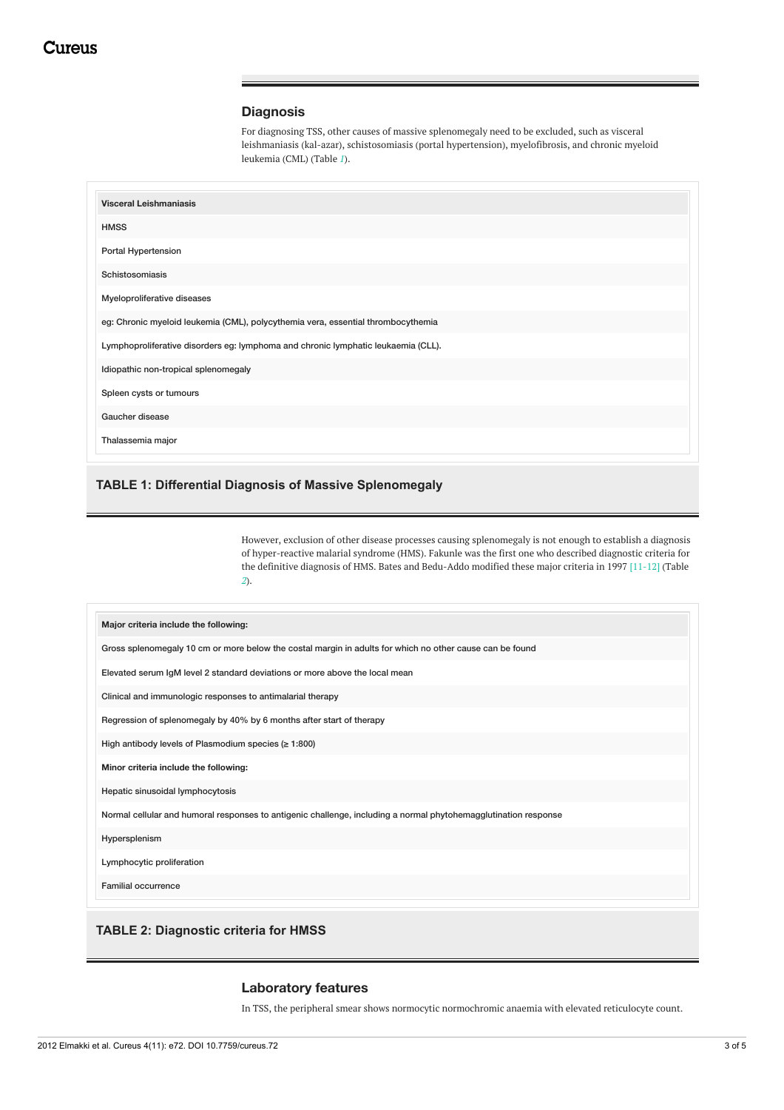### **Diagnosis**

For diagnosing TSS, other causes of massive splenomegaly need to be excluded, such as visceral leishmaniasis (kal-azar), schistosomiasis (portal hypertension), myelofibrosis, and chronic myeloid leukemia (CML) (Table *[1](#page-2-0)*).

<span id="page-2-0"></span>

#### **TABLE 1: Differential Diagnosis of Massive Splenomegaly**

However, exclusion of other disease processes causing splenomegaly is not enough to establish a diagnosis of hyper-reactive malarial syndrome (HMS). Fakunle was the first one who described diagnostic criteria for the definitive diagnosis of HMS. Bates and Bedu-Addo modified these major criteria in 1997 [11-12] (Table *[2](#page-2-1)*).

<span id="page-2-1"></span>

| Major criteria include the following:                                                                           |
|-----------------------------------------------------------------------------------------------------------------|
| Gross splenomegaly 10 cm or more below the costal margin in adults for which no other cause can be found        |
| Elevated serum IgM level 2 standard deviations or more above the local mean                                     |
| Clinical and immunologic responses to antimalarial therapy                                                      |
| Regression of splenomegaly by 40% by 6 months after start of therapy                                            |
| High antibody levels of Plasmodium species ( $\geq 1:800$ )                                                     |
| Minor criteria include the following:                                                                           |
| Hepatic sinusoidal lymphocytosis                                                                                |
| Normal cellular and humoral responses to antigenic challenge, including a normal phytohemagglutination response |
| Hypersplenism                                                                                                   |
| Lymphocytic proliferation                                                                                       |
| Familial occurrence                                                                                             |
|                                                                                                                 |
| <b>TABLE 2: Diagnostic criteria for HMSS</b>                                                                    |

#### **Laboratory features**

In TSS, the peripheral smear shows normocytic normochromic anaemia with elevated reticulocyte count.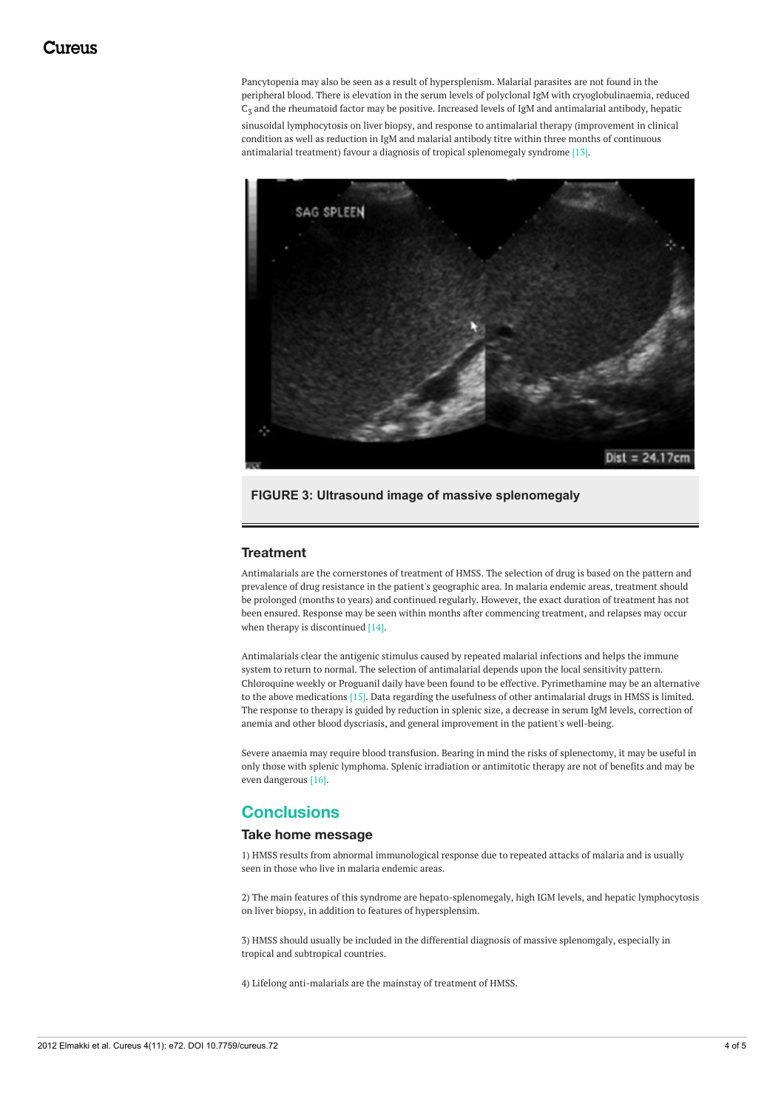Pancytopenia may also be seen as a result of hypersplenism. Malarial parasites are not found in the peripheral blood. There is elevation in the serum levels of polyclonal IgM with cryoglobulinaemia, reduced C<sup>3</sup> and the rheumatoid factor may be positive. Increased levels of IgM and antimalarial antibody, hepatic sinusoidal lymphocytosis on liver biopsy, and response to antimalarial therapy (improvement in clinical condition as well as reduction in IgM and malarial antibody titre within three months of continuous antimalarial treatment) favour a diagnosis of tropical splenomegaly syndrome [13].



#### **FIGURE 3: Ultrasound image of massive splenomegaly**

#### **Treatment**

Antimalarials are the cornerstones of treatment of HMSS. The selection of drug is based on the pattern and prevalence of drug resistance in the patient's geographic area. In malaria endemic areas, treatment should be prolonged (months to years) and continued regularly. However, the exact duration of treatment has not been ensured. Response may be seen within months after commencing treatment, and relapses may occur when therapy is discontinued [14].

Antimalarials clear the antigenic stimulus caused by repeated malarial infections and helps the immune system to return to normal. The selection of antimalarial depends upon the local sensitivity pattern. Chloroquine weekly or Proguanil daily have been found to be effective. Pyrimethamine may be an alternative to the above medications [15]. Data regarding the usefulness of other antimalarial drugs in HMSS is limited. The response to therapy is guided by reduction in splenic size, a decrease in serum IgM levels, correction of anemia and other blood dyscriasis, and general improvement in the patient's well-being.

Severe anaemia may require blood transfusion. Bearing in mind the risks of splenectomy, it may be useful in only those with splenic lymphoma. Splenic irradiation or antimitotic therapy are not of benefits and may be even dangerous [16].

## **Conclusions**

#### **Take home message**

1) HMSS results from abnormal immunological response due to repeated attacks of malaria and is usually seen in those who live in malaria endemic areas.

2) The main features of this syndrome are hepato-splenomegaly, high IGM levels, and hepatic lymphocytosis on liver biopsy, in addition to features of hypersplensim.

3) HMSS should usually be included in the differential diagnosis of massive splenomgaly, especially in tropical and subtropical countries.

4) Lifelong anti-malarials are the mainstay of treatment of HMSS.